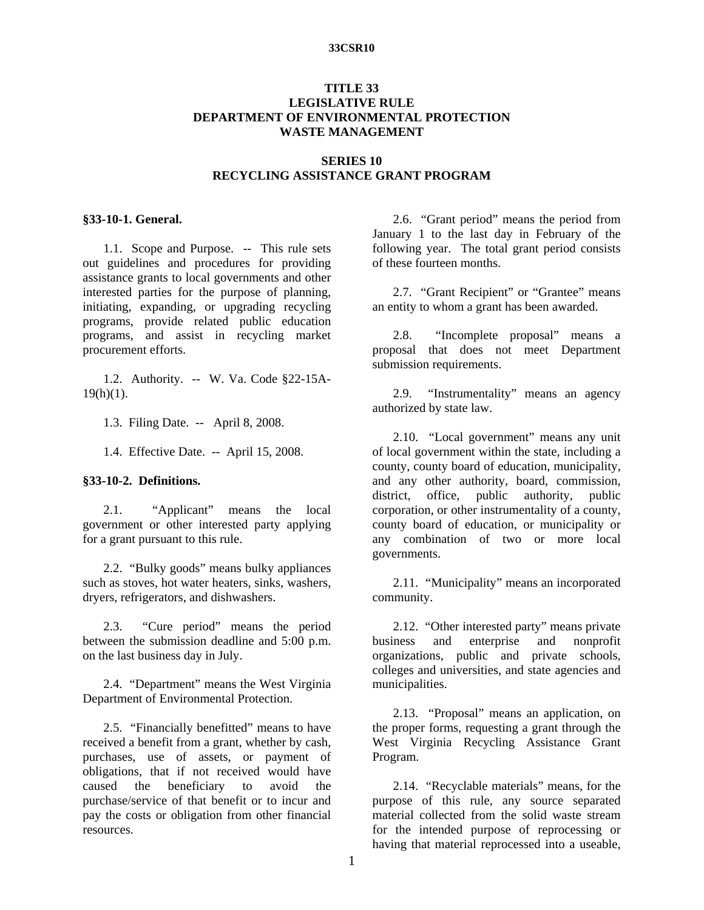### **33CSR10**

## **TITLE 33 LEGISLATIVE RULE DEPARTMENT OF ENVIRONMENTAL PROTECTION WASTE MANAGEMENT**

### **SERIES 10 RECYCLING ASSISTANCE GRANT PROGRAM**

#### **§33-10-1. General.**

1.1. Scope and Purpose. -- This rule sets out guidelines and procedures for providing assistance grants to local governments and other interested parties for the purpose of planning, initiating, expanding, or upgrading recycling programs, provide related public education programs, and assist in recycling market procurement efforts.

 1.2. Authority. -- W. Va. Code §22-15A- $19(h)(1)$ .

1.3. Filing Date. -- April 8, 2008.

1.4. Effective Date. -- April 15, 2008.

#### **§33-10-2. Definitions.**

 2.1. "Applicant" means the local government or other interested party applying for a grant pursuant to this rule.

 2.2. "Bulky goods" means bulky appliances such as stoves, hot water heaters, sinks, washers, dryers, refrigerators, and dishwashers.

 2.3. "Cure period" means the period between the submission deadline and 5:00 p.m. on the last business day in July.

 2.4. "Department" means the West Virginia Department of Environmental Protection.

 2.5. "Financially benefitted" means to have received a benefit from a grant, whether by cash, purchases, use of assets, or payment of obligations, that if not received would have caused the beneficiary to avoid the purchase/service of that benefit or to incur and pay the costs or obligation from other financial resources.

 2.6. "Grant period" means the period from January 1 to the last day in February of the following year. The total grant period consists of these fourteen months.

 2.7. "Grant Recipient" or "Grantee" means an entity to whom a grant has been awarded.

 2.8. "Incomplete proposal" means a proposal that does not meet Department submission requirements.

 2.9. "Instrumentality" means an agency authorized by state law.

 2.10. "Local government" means any unit of local government within the state, including a county, county board of education, municipality, and any other authority, board, commission, district, office, public authority, public corporation, or other instrumentality of a county, county board of education, or municipality or any combination of two or more local governments.

 2.11. "Municipality" means an incorporated community.

 2.12. "Other interested party" means private business and enterprise and nonprofit organizations, public and private schools, colleges and universities, and state agencies and municipalities.

 2.13. "Proposal" means an application, on the proper forms, requesting a grant through the West Virginia Recycling Assistance Grant Program.

 2.14. "Recyclable materials" means, for the purpose of this rule, any source separated material collected from the solid waste stream for the intended purpose of reprocessing or having that material reprocessed into a useable,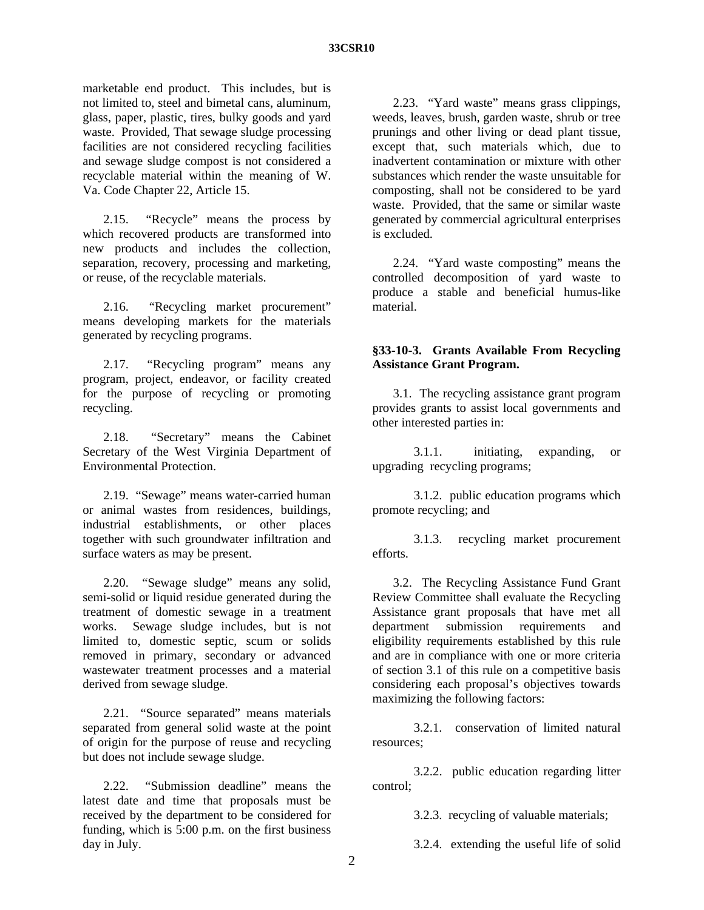#### **33CSR10**

marketable end product. This includes, but is not limited to, steel and bimetal cans, aluminum, glass, paper, plastic, tires, bulky goods and yard waste. Provided, That sewage sludge processing facilities are not considered recycling facilities and sewage sludge compost is not considered a recyclable material within the meaning of W. Va. Code Chapter 22, Article 15.

 2.15. "Recycle" means the process by which recovered products are transformed into new products and includes the collection, separation, recovery, processing and marketing, or reuse, of the recyclable materials.

 2.16. "Recycling market procurement" means developing markets for the materials generated by recycling programs.

 2.17. "Recycling program" means any program, project, endeavor, or facility created for the purpose of recycling or promoting recycling.

 2.18. "Secretary" means the Cabinet Secretary of the West Virginia Department of Environmental Protection.

 2.19. "Sewage" means water-carried human or animal wastes from residences, buildings, industrial establishments, or other places together with such groundwater infiltration and surface waters as may be present.

 2.20. "Sewage sludge" means any solid, semi-solid or liquid residue generated during the treatment of domestic sewage in a treatment works. Sewage sludge includes, but is not limited to, domestic septic, scum or solids removed in primary, secondary or advanced wastewater treatment processes and a material derived from sewage sludge.

 2.21. "Source separated" means materials separated from general solid waste at the point of origin for the purpose of reuse and recycling but does not include sewage sludge.

 2.22. "Submission deadline" means the latest date and time that proposals must be received by the department to be considered for funding, which is 5:00 p.m. on the first business day in July.

 2.23. "Yard waste" means grass clippings, weeds, leaves, brush, garden waste, shrub or tree prunings and other living or dead plant tissue, except that, such materials which, due to inadvertent contamination or mixture with other substances which render the waste unsuitable for composting, shall not be considered to be yard waste. Provided, that the same or similar waste generated by commercial agricultural enterprises is excluded.

 2.24. "Yard waste composting" means the controlled decomposition of yard waste to produce a stable and beneficial humus-like material.

## **§33-10-3. Grants Available From Recycling Assistance Grant Program.**

 3.1. The recycling assistance grant program provides grants to assist local governments and other interested parties in:

 3.1.1. initiating, expanding, or upgrading recycling programs;

 3.1.2. public education programs which promote recycling; and

 3.1.3. recycling market procurement efforts.

 3.2. The Recycling Assistance Fund Grant Review Committee shall evaluate the Recycling Assistance grant proposals that have met all department submission requirements and eligibility requirements established by this rule and are in compliance with one or more criteria of section 3.1 of this rule on a competitive basis considering each proposal's objectives towards maximizing the following factors:

 3.2.1. conservation of limited natural resources;

 3.2.2. public education regarding litter control;

3.2.3. recycling of valuable materials;

3.2.4. extending the useful life of solid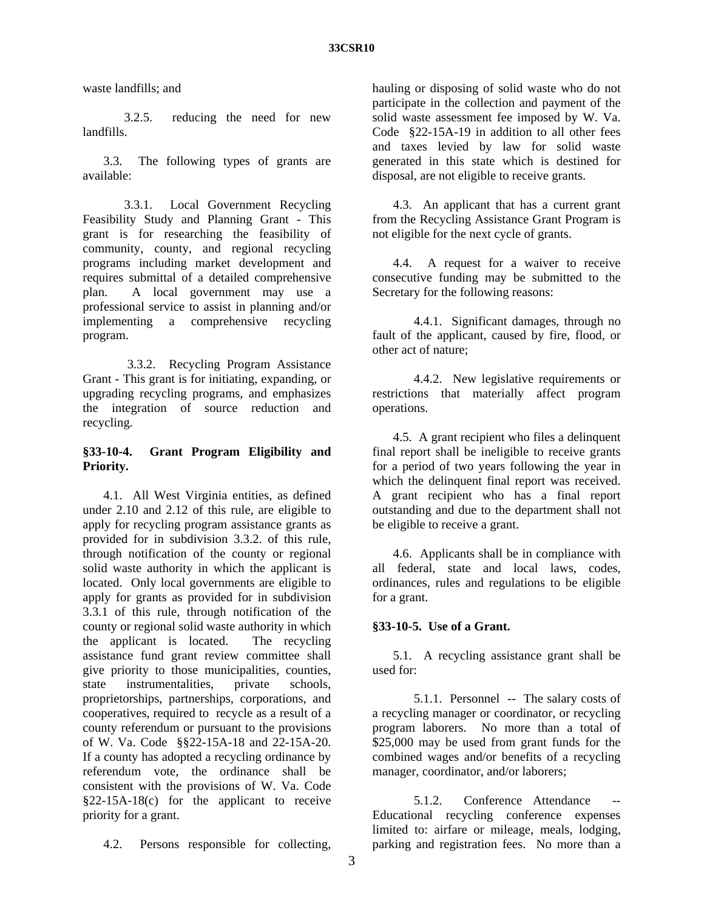waste landfills; and

 3.2.5. reducing the need for new landfills.

 3.3. The following types of grants are available:

 3.3.1. Local Government Recycling Feasibility Study and Planning Grant - This grant is for researching the feasibility of community, county, and regional recycling programs including market development and requires submittal of a detailed comprehensive plan. A local government may use a professional service to assist in planning and/or implementing a comprehensive recycling program.

 3.3.2. Recycling Program Assistance Grant - This grant is for initiating, expanding, or upgrading recycling programs, and emphasizes the integration of source reduction and recycling.

# **§33-10-4. Grant Program Eligibility and Priority.**

 4.1. All West Virginia entities, as defined under 2.10 and 2.12 of this rule, are eligible to apply for recycling program assistance grants as provided for in subdivision 3.3.2. of this rule, through notification of the county or regional solid waste authority in which the applicant is located. Only local governments are eligible to apply for grants as provided for in subdivision 3.3.1 of this rule, through notification of the county or regional solid waste authority in which the applicant is located. The recycling assistance fund grant review committee shall give priority to those municipalities, counties, state instrumentalities, private schools, proprietorships, partnerships, corporations, and cooperatives, required to recycle as a result of a county referendum or pursuant to the provisions of W. Va. Code §§22-15A-18 and 22-15A-20. If a county has adopted a recycling ordinance by referendum vote, the ordinance shall be consistent with the provisions of W. Va. Code §22-15A-18(c) for the applicant to receive priority for a grant.

hauling or disposing of solid waste who do not participate in the collection and payment of the solid waste assessment fee imposed by W. Va. Code §22-15A-19 in addition to all other fees and taxes levied by law for solid waste generated in this state which is destined for disposal, are not eligible to receive grants.

 4.3. An applicant that has a current grant from the Recycling Assistance Grant Program is not eligible for the next cycle of grants.

 4.4. A request for a waiver to receive consecutive funding may be submitted to the Secretary for the following reasons:

 4.4.1. Significant damages, through no fault of the applicant, caused by fire, flood, or other act of nature;

 4.4.2. New legislative requirements or restrictions that materially affect program operations.

 4.5. A grant recipient who files a delinquent final report shall be ineligible to receive grants for a period of two years following the year in which the delinquent final report was received. A grant recipient who has a final report outstanding and due to the department shall not be eligible to receive a grant.

 4.6. Applicants shall be in compliance with all federal, state and local laws, codes, ordinances, rules and regulations to be eligible for a grant.

# **§33-10-5. Use of a Grant.**

 5.1. A recycling assistance grant shall be used for:

 5.1.1. Personnel -- The salary costs of a recycling manager or coordinator, or recycling program laborers. No more than a total of \$25,000 may be used from grant funds for the combined wages and/or benefits of a recycling manager, coordinator, and/or laborers;

5.1.2. Conference Attendance Educational recycling conference expenses limited to: airfare or mileage, meals, lodging, parking and registration fees. No more than a

4.2. Persons responsible for collecting,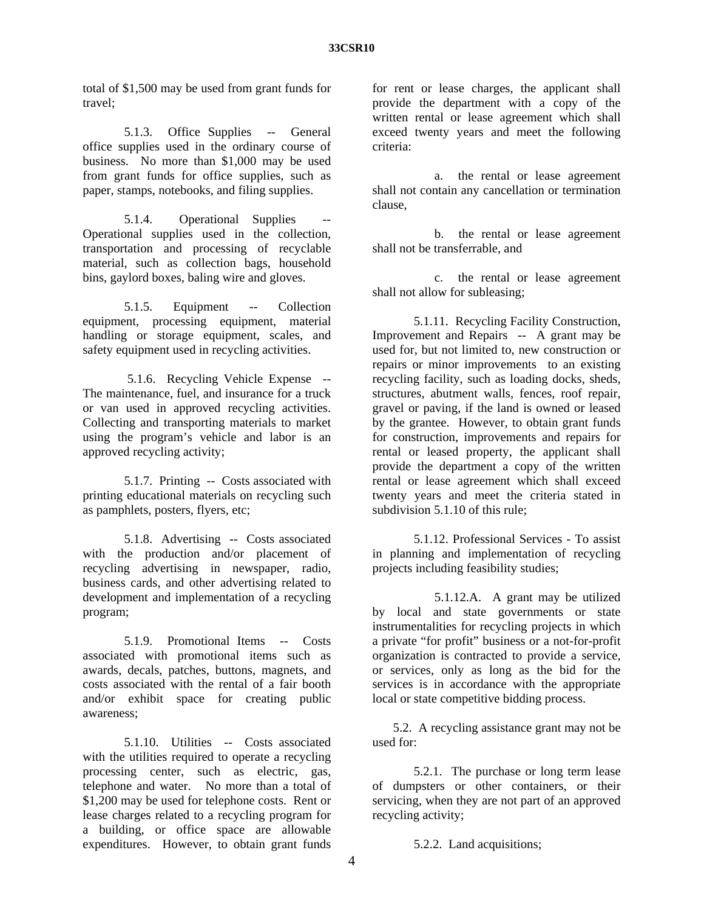total of \$1,500 may be used from grant funds for travel;

 5.1.3. Office Supplies -- General office supplies used in the ordinary course of business. No more than \$1,000 may be used from grant funds for office supplies, such as paper, stamps, notebooks, and filing supplies.

5.1.4. Operational Supplies Operational supplies used in the collection, transportation and processing of recyclable material, such as collection bags, household bins, gaylord boxes, baling wire and gloves.

 5.1.5. Equipment -- Collection equipment, processing equipment, material handling or storage equipment, scales, and safety equipment used in recycling activities.

 5.1.6. Recycling Vehicle Expense -- The maintenance, fuel, and insurance for a truck or van used in approved recycling activities. Collecting and transporting materials to market using the program's vehicle and labor is an approved recycling activity;

 5.1.7. Printing -- Costs associated with printing educational materials on recycling such as pamphlets, posters, flyers, etc;

 5.1.8. Advertising -- Costs associated with the production and/or placement of recycling advertising in newspaper, radio, business cards, and other advertising related to development and implementation of a recycling program;

 5.1.9. Promotional Items -- Costs associated with promotional items such as awards, decals, patches, buttons, magnets, and costs associated with the rental of a fair booth and/or exhibit space for creating public awareness;

 5.1.10. Utilities -- Costs associated with the utilities required to operate a recycling processing center, such as electric, gas, telephone and water. No more than a total of \$1,200 may be used for telephone costs. Rent or lease charges related to a recycling program for a building, or office space are allowable expenditures. However, to obtain grant funds

for rent or lease charges, the applicant shall provide the department with a copy of the written rental or lease agreement which shall exceed twenty years and meet the following criteria:

 a. the rental or lease agreement shall not contain any cancellation or termination clause,

 b. the rental or lease agreement shall not be transferrable, and

 c. the rental or lease agreement shall not allow for subleasing;

 5.1.11. Recycling Facility Construction, Improvement and Repairs -- A grant may be used for, but not limited to, new construction or repairs or minor improvements to an existing recycling facility, such as loading docks, sheds, structures, abutment walls, fences, roof repair, gravel or paving, if the land is owned or leased by the grantee. However, to obtain grant funds for construction, improvements and repairs for rental or leased property, the applicant shall provide the department a copy of the written rental or lease agreement which shall exceed twenty years and meet the criteria stated in subdivision 5.1.10 of this rule;

 5.1.12. Professional Services - To assist in planning and implementation of recycling projects including feasibility studies;

 5.1.12.A. A grant may be utilized by local and state governments or state instrumentalities for recycling projects in which a private "for profit" business or a not-for-profit organization is contracted to provide a service, or services, only as long as the bid for the services is in accordance with the appropriate local or state competitive bidding process.

 5.2. A recycling assistance grant may not be used for:

 5.2.1. The purchase or long term lease of dumpsters or other containers, or their servicing, when they are not part of an approved recycling activity;

5.2.2. Land acquisitions;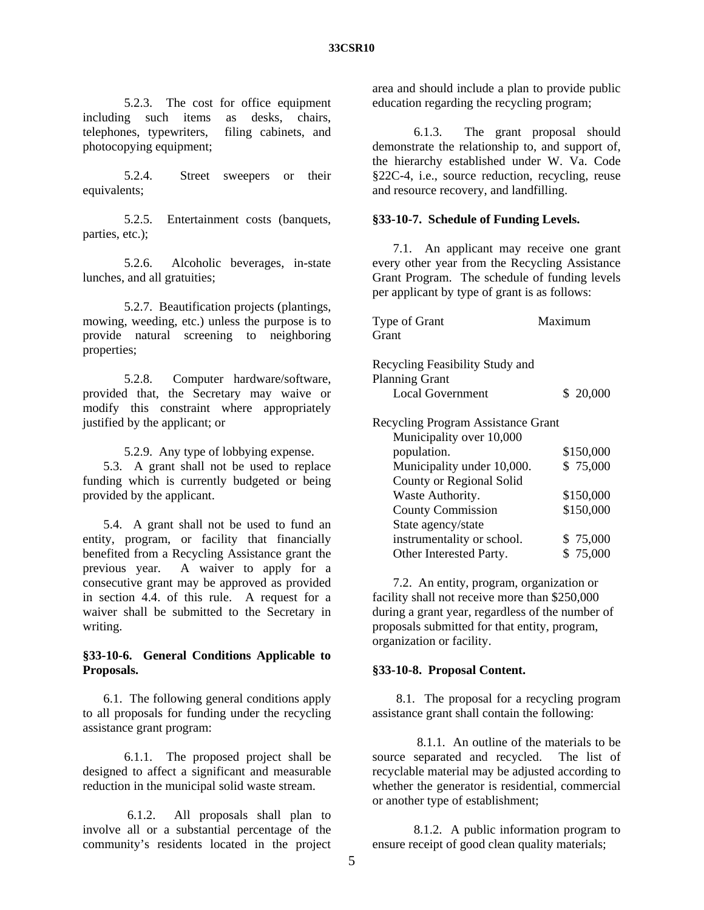5.2.3. The cost for office equipment including such items as desks, chairs, telephones, typewriters, filing cabinets, and photocopying equipment;

 5.2.4. Street sweepers or their equivalents;

 5.2.5. Entertainment costs (banquets, parties, etc.);

 5.2.6. Alcoholic beverages, in-state lunches, and all gratuities;

 5.2.7. Beautification projects (plantings, mowing, weeding, etc.) unless the purpose is to provide natural screening to neighboring properties;

 5.2.8. Computer hardware/software, provided that, the Secretary may waive or modify this constraint where appropriately justified by the applicant; or

5.2.9. Any type of lobbying expense.

 5.3. A grant shall not be used to replace funding which is currently budgeted or being provided by the applicant.

 5.4. A grant shall not be used to fund an entity, program, or facility that financially benefited from a Recycling Assistance grant the previous year. A waiver to apply for a consecutive grant may be approved as provided in section 4.4. of this rule. A request for a waiver shall be submitted to the Secretary in writing.

### **§33-10-6. General Conditions Applicable to Proposals.**

 6.1. The following general conditions apply to all proposals for funding under the recycling assistance grant program:

 6.1.1. The proposed project shall be designed to affect a significant and measurable reduction in the municipal solid waste stream.

 6.1.2. All proposals shall plan to involve all or a substantial percentage of the community's residents located in the project

area and should include a plan to provide public education regarding the recycling program;

 6.1.3. The grant proposal should demonstrate the relationship to, and support of, the hierarchy established under W. Va. Code §22C-4, i.e., source reduction, recycling, reuse and resource recovery, and landfilling.

### **§33-10-7. Schedule of Funding Levels.**

 7.1. An applicant may receive one grant every other year from the Recycling Assistance Grant Program. The schedule of funding levels per applicant by type of grant is as follows:

| Type of Grant                      | Maximum   |
|------------------------------------|-----------|
| Grant                              |           |
|                                    |           |
| Recycling Feasibility Study and    |           |
| <b>Planning Grant</b>              |           |
| <b>Local Government</b>            | \$20,000  |
|                                    |           |
| Recycling Program Assistance Grant |           |
| Municipality over 10,000           |           |
| population.                        | \$150,000 |
| Municipality under 10,000.         | \$75,000  |
| County or Regional Solid           |           |
| Waste Authority.                   | \$150,000 |
| <b>County Commission</b>           | \$150,000 |
| State agency/state                 |           |
| instrumentality or school.         | \$75,000  |
| Other Interested Party.            | \$75,000  |

 7.2. An entity, program, organization or facility shall not receive more than \$250,000 during a grant year, regardless of the number of proposals submitted for that entity, program, organization or facility.

#### **§33-10-8. Proposal Content.**

 8.1. The proposal for a recycling program assistance grant shall contain the following:

 8.1.1. An outline of the materials to be source separated and recycled. The list of recyclable material may be adjusted according to whether the generator is residential, commercial or another type of establishment;

 8.1.2. A public information program to ensure receipt of good clean quality materials;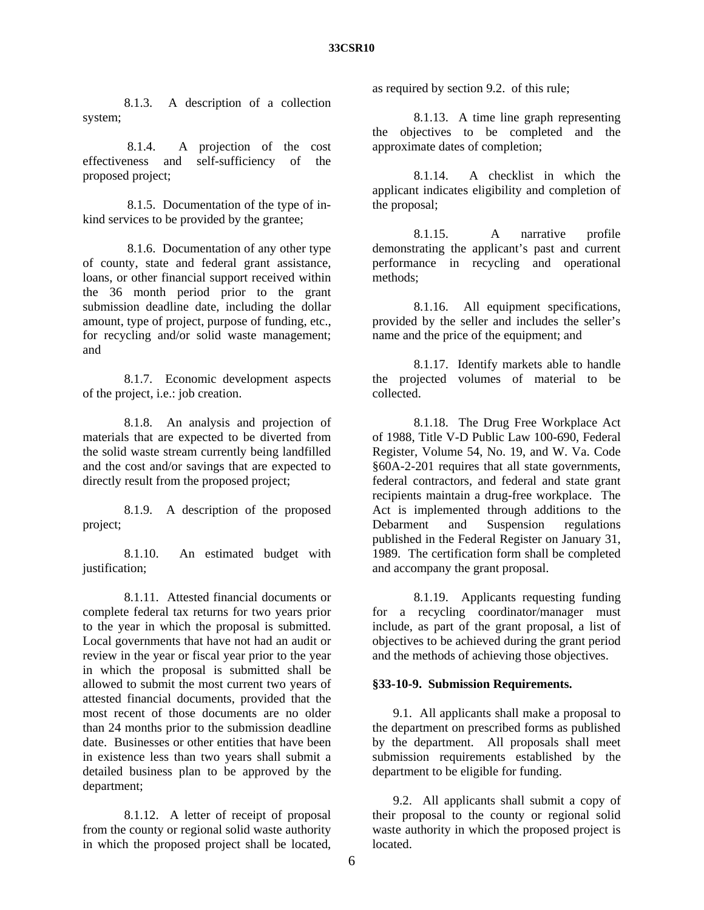8.1.3. A description of a collection system;

 8.1.4. A projection of the cost effectiveness and self-sufficiency of the proposed project;

 8.1.5. Documentation of the type of inkind services to be provided by the grantee;

 8.1.6. Documentation of any other type of county, state and federal grant assistance, loans, or other financial support received within the 36 month period prior to the grant submission deadline date, including the dollar amount, type of project, purpose of funding, etc., for recycling and/or solid waste management; and

 8.1.7. Economic development aspects of the project, i.e.: job creation.

 8.1.8. An analysis and projection of materials that are expected to be diverted from the solid waste stream currently being landfilled and the cost and/or savings that are expected to directly result from the proposed project;

 8.1.9. A description of the proposed project;

 8.1.10. An estimated budget with justification:

 8.1.11. Attested financial documents or complete federal tax returns for two years prior to the year in which the proposal is submitted. Local governments that have not had an audit or review in the year or fiscal year prior to the year in which the proposal is submitted shall be allowed to submit the most current two years of attested financial documents, provided that the most recent of those documents are no older than 24 months prior to the submission deadline date. Businesses or other entities that have been in existence less than two years shall submit a detailed business plan to be approved by the department;

 8.1.12. A letter of receipt of proposal from the county or regional solid waste authority in which the proposed project shall be located,

as required by section 9.2. of this rule;

 8.1.13. A time line graph representing the objectives to be completed and the approximate dates of completion;

 8.1.14. A checklist in which the applicant indicates eligibility and completion of the proposal;

 8.1.15. A narrative profile demonstrating the applicant's past and current performance in recycling and operational methods;

 8.1.16. All equipment specifications, provided by the seller and includes the seller's name and the price of the equipment; and

 8.1.17. Identify markets able to handle the projected volumes of material to be collected.

 8.1.18. The Drug Free Workplace Act of 1988, Title V-D Public Law 100-690, Federal Register, Volume 54, No. 19, and W. Va. Code §60A-2-201 requires that all state governments, federal contractors, and federal and state grant recipients maintain a drug-free workplace. The Act is implemented through additions to the Debarment and Suspension regulations published in the Federal Register on January 31, 1989. The certification form shall be completed and accompany the grant proposal.

8.1.19. Applicants requesting funding for a recycling coordinator/manager must include, as part of the grant proposal, a list of objectives to be achieved during the grant period and the methods of achieving those objectives.

# **§33-10-9. Submission Requirements.**

 9.1. All applicants shall make a proposal to the department on prescribed forms as published by the department. All proposals shall meet submission requirements established by the department to be eligible for funding.

 9.2. All applicants shall submit a copy of their proposal to the county or regional solid waste authority in which the proposed project is **located**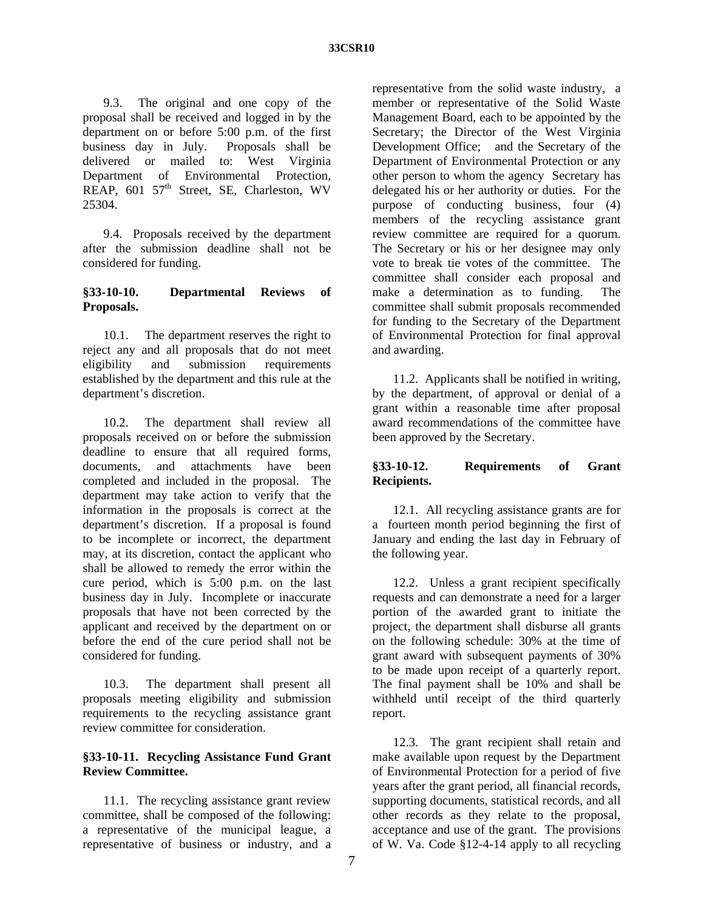9.3. The original and one copy of the proposal shall be received and logged in by the department on or before 5:00 p.m. of the first business day in July. Proposals shall be delivered or mailed to: West Virginia Department of Environmental Protection, REAP, 601 57<sup>th</sup> Street, SE, Charleston, WV 25304.

 9.4. Proposals received by the department after the submission deadline shall not be considered for funding.

## **§33-10-10. Departmental Reviews of Proposals.**

 10.1. The department reserves the right to reject any and all proposals that do not meet eligibility and submission requirements established by the department and this rule at the department's discretion.

 10.2. The department shall review all proposals received on or before the submission deadline to ensure that all required forms, documents, and attachments have been completed and included in the proposal. The department may take action to verify that the information in the proposals is correct at the department's discretion. If a proposal is found to be incomplete or incorrect, the department may, at its discretion, contact the applicant who shall be allowed to remedy the error within the cure period, which is 5:00 p.m. on the last business day in July. Incomplete or inaccurate proposals that have not been corrected by the applicant and received by the department on or before the end of the cure period shall not be considered for funding.

 10.3. The department shall present all proposals meeting eligibility and submission requirements to the recycling assistance grant review committee for consideration.

### **§33-10-11. Recycling Assistance Fund Grant Review Committee.**

 11.1. The recycling assistance grant review committee, shall be composed of the following: a representative of the municipal league, a representative of business or industry, and a

representative from the solid waste industry, a member or representative of the Solid Waste Management Board, each to be appointed by the Secretary; the Director of the West Virginia Development Office; and the Secretary of the Department of Environmental Protection or any other person to whom the agency Secretary has delegated his or her authority or duties. For the purpose of conducting business, four (4) members of the recycling assistance grant review committee are required for a quorum. The Secretary or his or her designee may only vote to break tie votes of the committee. The committee shall consider each proposal and make a determination as to funding. The committee shall submit proposals recommended for funding to the Secretary of the Department of Environmental Protection for final approval and awarding.

 11.2. Applicants shall be notified in writing, by the department, of approval or denial of a grant within a reasonable time after proposal award recommendations of the committee have been approved by the Secretary.

# **§33-10-12. Requirements of Grant Recipients.**

 12.1. All recycling assistance grants are for a fourteen month period beginning the first of January and ending the last day in February of the following year.

 12.2. Unless a grant recipient specifically requests and can demonstrate a need for a larger portion of the awarded grant to initiate the project, the department shall disburse all grants on the following schedule: 30% at the time of grant award with subsequent payments of 30% to be made upon receipt of a quarterly report. The final payment shall be 10% and shall be withheld until receipt of the third quarterly report.

 12.3. The grant recipient shall retain and make available upon request by the Department of Environmental Protection for a period of five years after the grant period, all financial records, supporting documents, statistical records, and all other records as they relate to the proposal, acceptance and use of the grant. The provisions of W. Va. Code §12-4-14 apply to all recycling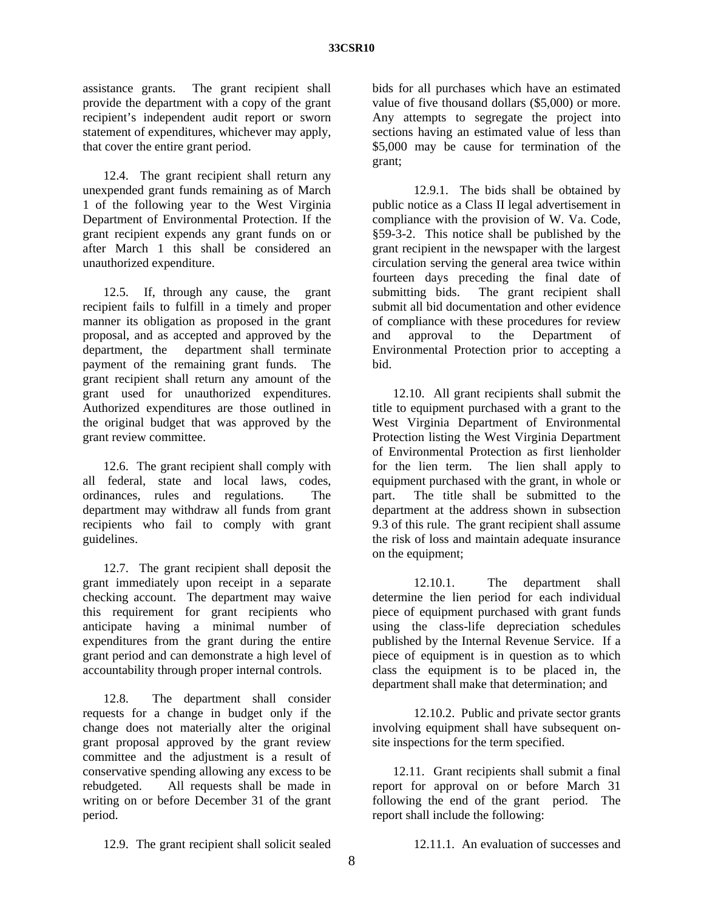assistance grants. The grant recipient shall provide the department with a copy of the grant recipient's independent audit report or sworn statement of expenditures, whichever may apply, that cover the entire grant period.

 12.4. The grant recipient shall return any unexpended grant funds remaining as of March 1 of the following year to the West Virginia Department of Environmental Protection. If the grant recipient expends any grant funds on or after March 1 this shall be considered an unauthorized expenditure.

 12.5. If, through any cause, the grant recipient fails to fulfill in a timely and proper manner its obligation as proposed in the grant proposal, and as accepted and approved by the department, the department shall terminate payment of the remaining grant funds. The grant recipient shall return any amount of the grant used for unauthorized expenditures. Authorized expenditures are those outlined in the original budget that was approved by the grant review committee.

 12.6. The grant recipient shall comply with all federal, state and local laws, codes, ordinances, rules and regulations. The department may withdraw all funds from grant recipients who fail to comply with grant guidelines.

 12.7. The grant recipient shall deposit the grant immediately upon receipt in a separate checking account. The department may waive this requirement for grant recipients who anticipate having a minimal number of expenditures from the grant during the entire grant period and can demonstrate a high level of accountability through proper internal controls.

 12.8. The department shall consider requests for a change in budget only if the change does not materially alter the original grant proposal approved by the grant review committee and the adjustment is a result of conservative spending allowing any excess to be rebudgeted. All requests shall be made in writing on or before December 31 of the grant period.

bids for all purchases which have an estimated value of five thousand dollars (\$5,000) or more. Any attempts to segregate the project into sections having an estimated value of less than \$5,000 may be cause for termination of the grant;

 12.9.1. The bids shall be obtained by public notice as a Class II legal advertisement in compliance with the provision of W. Va. Code, §59-3-2. This notice shall be published by the grant recipient in the newspaper with the largest circulation serving the general area twice within fourteen days preceding the final date of submitting bids. The grant recipient shall submit all bid documentation and other evidence of compliance with these procedures for review and approval to the Department of Environmental Protection prior to accepting a bid.

 12.10. All grant recipients shall submit the title to equipment purchased with a grant to the West Virginia Department of Environmental Protection listing the West Virginia Department of Environmental Protection as first lienholder for the lien term. The lien shall apply to equipment purchased with the grant, in whole or part. The title shall be submitted to the department at the address shown in subsection 9.3 of this rule. The grant recipient shall assume the risk of loss and maintain adequate insurance on the equipment;

 12.10.1. The department shall determine the lien period for each individual piece of equipment purchased with grant funds using the class-life depreciation schedules published by the Internal Revenue Service. If a piece of equipment is in question as to which class the equipment is to be placed in, the department shall make that determination; and

 12.10.2. Public and private sector grants involving equipment shall have subsequent onsite inspections for the term specified.

 12.11. Grant recipients shall submit a final report for approval on or before March 31 following the end of the grant period. The report shall include the following:

12.9. The grant recipient shall solicit sealed

12.11.1. An evaluation of successes and